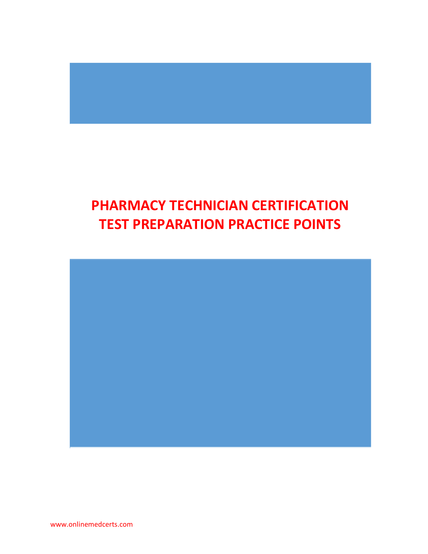## **PHARMACY TECHNICIAN CERTIFICATION TEST PREPARATION PRACTICE POINTS**



www.onlinemedcerts.com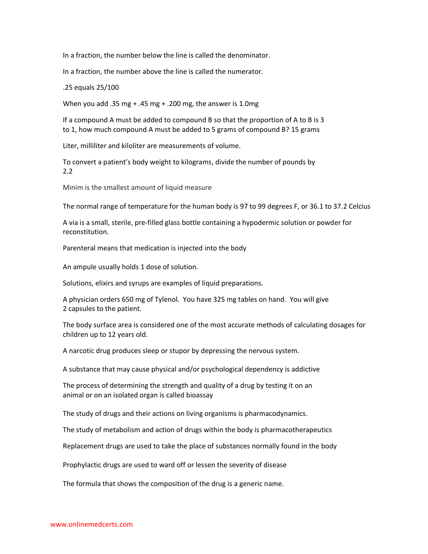In a fraction, the number below the line is called the denominator.

In a fraction, the number above the line is called the numerator.

.25 equals 25/100

When you add .35 mg + .45 mg + .200 mg, the answer is 1.0mg

If a compound A must be added to compound B so that the proportion of A to B is 3 to 1, how much compound A must be added to 5 grams of compound B? 15 grams

Liter, milliliter and kiloliter are measurements of volume.

To convert a patient's body weight to kilograms, divide the number of pounds by 2.2

Minim is the smallest amount of liquid measure

The normal range of temperature for the human body is 97 to 99 degrees F, or 36.1 to 37.2 Celcius

A via is a small, sterile, pre-filled glass bottle containing a hypodermic solution or powder for reconstitution.

Parenteral means that medication is injected into the body

An ampule usually holds 1 dose of solution.

Solutions, elixirs and syrups are examples of liquid preparations.

A physician orders 650 mg of Tylenol. You have 325 mg tables on hand. You will give 2 capsules to the patient.

The body surface area is considered one of the most accurate methods of calculating dosages for children up to 12 years old.

A narcotic drug produces sleep or stupor by depressing the nervous system.

A substance that may cause physical and/or psychological dependency is addictive

The process of determining the strength and quality of a drug by testing it on an animal or on an isolated organ is called bioassay

The study of drugs and their actions on living organisms is pharmacodynamics.

The study of metabolism and action of drugs within the body is pharmacotherapeutics

Replacement drugs are used to take the place of substances normally found in the body

Prophylactic drugs are used to ward off or lessen the severity of disease

The formula that shows the composition of the drug is a generic name.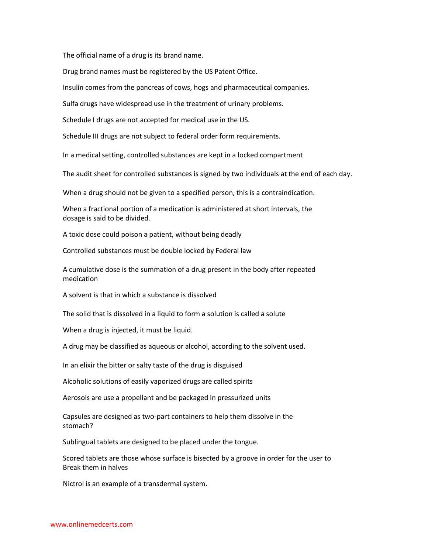The official name of a drug is its brand name.

Drug brand names must be registered by the US Patent Office.

Insulin comes from the pancreas of cows, hogs and pharmaceutical companies.

Sulfa drugs have widespread use in the treatment of urinary problems.

Schedule I drugs are not accepted for medical use in the US.

Schedule III drugs are not subject to federal order form requirements.

In a medical setting, controlled substances are kept in a locked compartment

The audit sheet for controlled substances is signed by two individuals at the end of each day.

When a drug should not be given to a specified person, this is a contraindication.

When a fractional portion of a medication is administered at short intervals, the dosage is said to be divided.

A toxic dose could poison a patient, without being deadly

Controlled substances must be double locked by Federal law

A cumulative dose is the summation of a drug present in the body after repeated medication

A solvent is that in which a substance is dissolved

The solid that is dissolved in a liquid to form a solution is called a solute

When a drug is injected, it must be liquid.

A drug may be classified as aqueous or alcohol, according to the solvent used.

In an elixir the bitter or salty taste of the drug is disguised

Alcoholic solutions of easily vaporized drugs are called spirits

Aerosols are use a propellant and be packaged in pressurized units

Capsules are designed as two-part containers to help them dissolve in the stomach?

Sublingual tablets are designed to be placed under the tongue.

Scored tablets are those whose surface is bisected by a groove in order for the user to Break them in halves

Nictrol is an example of a transdermal system.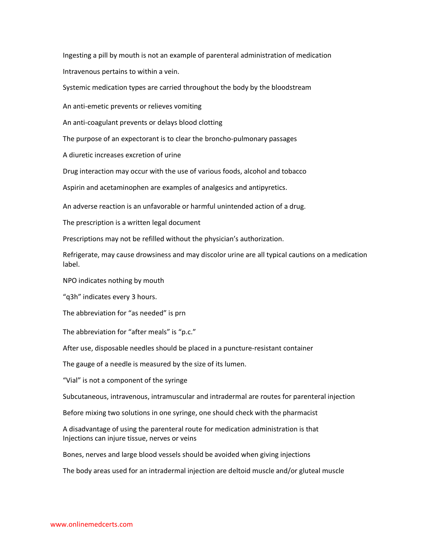Ingesting a pill by mouth is not an example of parenteral administration of medication Intravenous pertains to within a vein.

Systemic medication types are carried throughout the body by the bloodstream

An anti-emetic prevents or relieves vomiting

An anti-coagulant prevents or delays blood clotting

The purpose of an expectorant is to clear the broncho-pulmonary passages

A diuretic increases excretion of urine

Drug interaction may occur with the use of various foods, alcohol and tobacco

Aspirin and acetaminophen are examples of analgesics and antipyretics.

An adverse reaction is an unfavorable or harmful unintended action of a drug.

The prescription is a written legal document

Prescriptions may not be refilled without the physician's authorization.

Refrigerate, may cause drowsiness and may discolor urine are all typical cautions on a medication label.

NPO indicates nothing by mouth

"q3h" indicates every 3 hours.

The abbreviation for "as needed" is prn

The abbreviation for "after meals" is "p.c."

After use, disposable needles should be placed in a puncture-resistant container

The gauge of a needle is measured by the size of its lumen.

"Vial" is not a component of the syringe

Subcutaneous, intravenous, intramuscular and intradermal are routes for parenteral injection

Before mixing two solutions in one syringe, one should check with the pharmacist

A disadvantage of using the parenteral route for medication administration is that Injections can injure tissue, nerves or veins

Bones, nerves and large blood vessels should be avoided when giving injections

The body areas used for an intradermal injection are deltoid muscle and/or gluteal muscle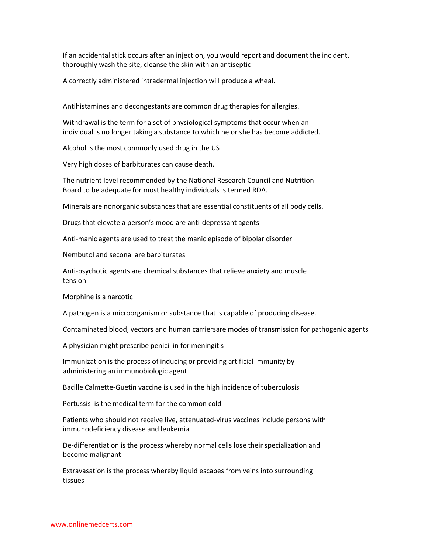If an accidental stick occurs after an injection, you would report and document the incident, thoroughly wash the site, cleanse the skin with an antiseptic

A correctly administered intradermal injection will produce a wheal.

Antihistamines and decongestants are common drug therapies for allergies.

Withdrawal is the term for a set of physiological symptoms that occur when an individual is no longer taking a substance to which he or she has become addicted.

Alcohol is the most commonly used drug in the US

Very high doses of barbiturates can cause death.

The nutrient level recommended by the National Research Council and Nutrition Board to be adequate for most healthy individuals is termed RDA.

Minerals are nonorganic substances that are essential constituents of all body cells.

Drugs that elevate a person's mood are anti-depressant agents

Anti-manic agents are used to treat the manic episode of bipolar disorder

Nembutol and seconal are barbiturates

Anti-psychotic agents are chemical substances that relieve anxiety and muscle tension

Morphine is a narcotic

A pathogen is a microorganism or substance that is capable of producing disease.

Contaminated blood, vectors and human carriersare modes of transmission for pathogenic agents

A physician might prescribe penicillin for meningitis

Immunization is the process of inducing or providing artificial immunity by administering an immunobiologic agent

Bacille Calmette-Guetin vaccine is used in the high incidence of tuberculosis

Pertussis is the medical term for the common cold

Patients who should not receive live, attenuated-virus vaccines include persons with immunodeficiency disease and leukemia

De-differentiation is the process whereby normal cells lose their specialization and become malignant

Extravasation is the process whereby liquid escapes from veins into surrounding tissues